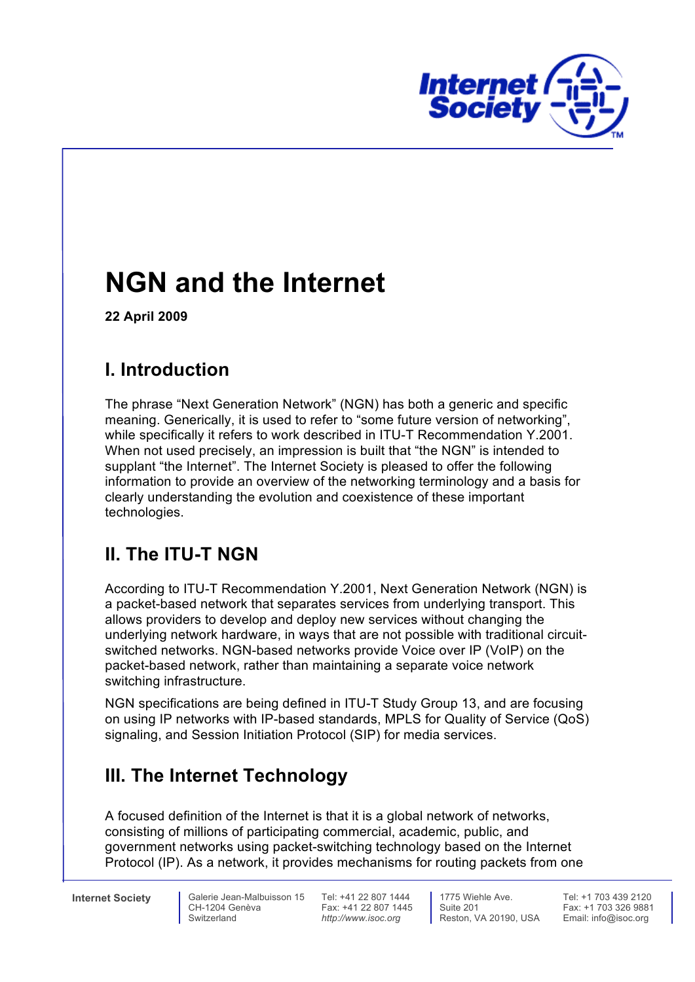

# **NGN and the Internet**

 **22 April 2009** 

## **I. Introduction**

 The phrase "Next Generation Network" (NGN) has both a generic and specific meaning. Generically, it is used to refer to "some future version of networking", while specifically it refers to work described in ITU-T Recommendation Y.2001. When not used precisely, an impression is built that "the NGN" is intended to supplant "the Internet". The Internet Society is pleased to offer the following information to provide an overview of the networking terminology and a basis for clearly understanding the evolution and coexistence of these important technologies.

## **II. The ITU-T NGN**

 According to ITU-T Recommendation Y.2001, Next Generation Network (NGN) is a packet-based network that separates services from underlying transport. This allows providers to develop and deploy new services without changing the underlying network hardware, in ways that are not possible with traditional circuit- switched networks. NGN-based networks provide Voice over IP (VoIP) on the packet-based network, rather than maintaining a separate voice network switching infrastructure.

 NGN specifications are being defined in ITU-T Study Group 13, and are focusing on using IP networks with IP-based standards, MPLS for Quality of Service (QoS) signaling, and Session Initiation Protocol (SIP) for media services.

## **III. The Internet Technology**

 A focused definition of the Internet is that it is a global network of networks, consisting of millions of participating commercial, academic, public, and government networks using packet-switching technology based on the Internet Protocol (IP). As a network, it provides mechanisms for routing packets from one

**Internet Society** 

Switzerland **http://www.isoc.org** Reston, VA 20190, USA Email: info@isoc.org Reston, VA 20190, USA CH-1204 Genèva Fax: +41 22 807 1445 Suite 201 Fax: +1 703 326 9881 **Internet Society Calerie Jean-Malbuisson 15** Tel: +41 22 807 1444 **1775** Wiehle Ave.<br>CH-1204 Genèva **Tel:** +41 22 807 1445 Suite 201

Fax: +41 22 807 1445<br>http://www.isoc.org

Suite 201

Tel: +1 703 439 2120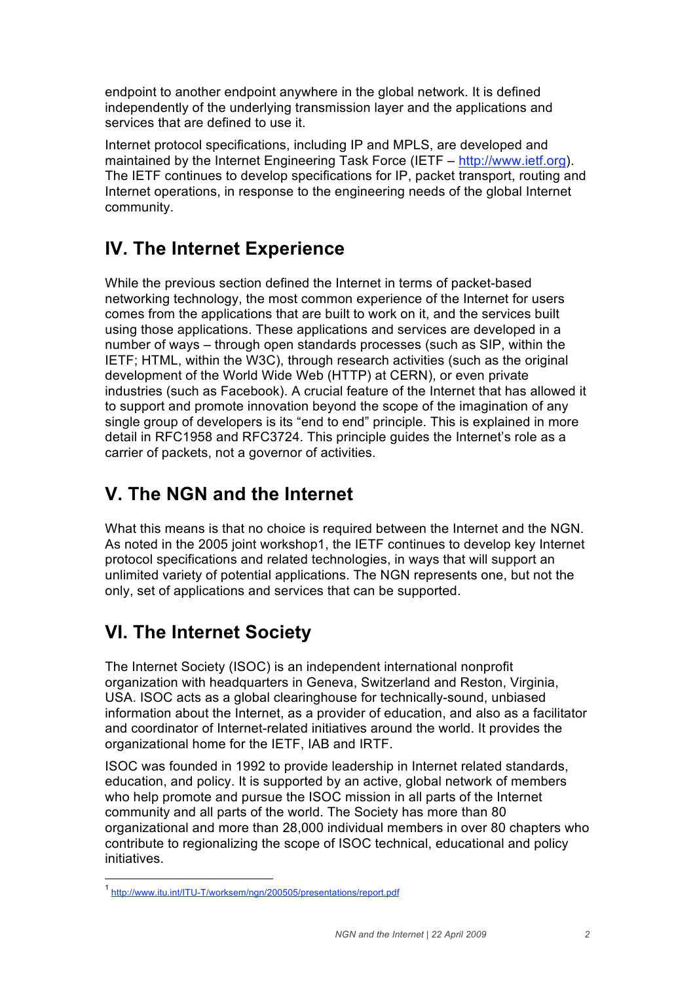endpoint to another endpoint anywhere in the global network. It is defined independently of the underlying transmission layer and the applications and services that are defined to use it.

 Internet protocol specifications, including IP and MPLS, are developed and maintained by the Internet Engineering Task Force (IETF – http://www.ietf.org). The IETF continues to develop specifications for IP, packet transport, routing and Internet operations, in response to the engineering needs of the global Internet community.

#### **IV. The Internet Experience**

 While the previous section defined the Internet in terms of packet-based networking technology, the most common experience of the Internet for users comes from the applications that are built to work on it, and the services built using those applications. These applications and services are developed in a number of ways – through open standards processes (such as SIP, within the IETF; HTML, within the W3C), through research activities (such as the original development of the World Wide Web (HTTP) at CERN), or even private industries (such as Facebook). A crucial feature of the Internet that has allowed it to support and promote innovation beyond the scope of the imagination of any single group of developers is its "end to end" principle. This is explained in more detail in RFC1958 and RFC3724. This principle guides the Internet's role as a carrier of packets, not a governor of activities.

## **V. The NGN and the Internet**

 What this means is that no choice is required between the Internet and the NGN. As noted in the 2005 joint workshop1, the IETF continues to develop key Internet protocol specifications and related technologies, in ways that will support an unlimited variety of potential applications. The NGN represents one, but not the only, set of applications and services that can be supported.

## **VI. The Internet Society**

 The Internet Society (ISOC) is an independent international nonprofit organization with headquarters in Geneva, Switzerland and Reston, Virginia, USA. ISOC acts as a global clearinghouse for technically-sound, unbiased information about the Internet, as a provider of education, and also as a facilitator and coordinator of Internet-related initiatives around the world. It provides the organizational home for the IETF, IAB and IRTF.

 ISOC was founded in 1992 to provide leadership in Internet related standards, education, and policy. It is supported by an active, global network of members who help promote and pursue the ISOC mission in all parts of the Internet community and all parts of the world. The Society has more than 80 organizational and more than 28,000 individual members in over 80 chapters who contribute to regionalizing the scope of ISOC technical, educational and policy initiatives initiatives.<br>-<br><sup>1</sup> http://www.itu.int/ITU-T/worksem/ngn/200505/presentations/report.pdf

1